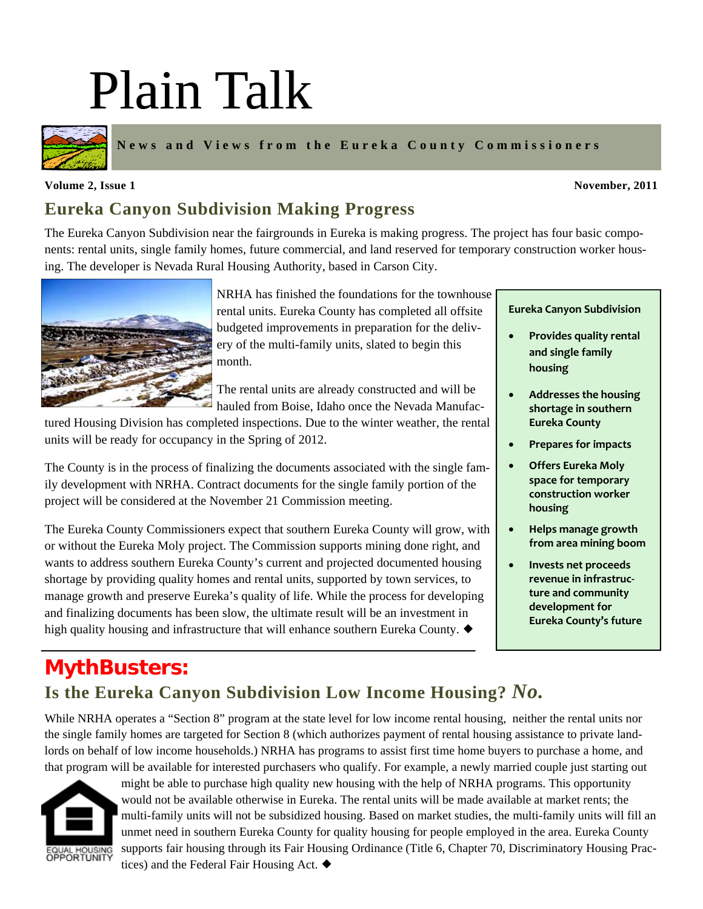# Plain Talk



**News and Views from the Eureka County Commissioners** 

#### **Volume 2, Issue 1** November, 2011 **November, 2011**

### **Eureka Canyon Subdivision Making Progress**

The Eureka Canyon Subdivision near the fairgrounds in Eureka is making progress. The project has four basic components: rental units, single family homes, future commercial, and land reserved for temporary construction worker housing. The developer is Nevada Rural Housing Authority, based in Carson City.



NRHA has finished the foundations for the townhouse rental units. Eureka County has completed all offsite budgeted improvements in preparation for the delivery of the multi-family units, slated to begin this month.

The rental units are already constructed and will be hauled from Boise, Idaho once the Nevada Manufac-

tured Housing Division has completed inspections. Due to the winter weather, the rental units will be ready for occupancy in the Spring of 2012.

The County is in the process of finalizing the documents associated with the single family development with NRHA. Contract documents for the single family portion of the project will be considered at the November 21 Commission meeting.

The Eureka County Commissioners expect that southern Eureka County will grow, with or without the Eureka Moly project. The Commission supports mining done right, and wants to address southern Eureka County's current and projected documented housing shortage by providing quality homes and rental units, supported by town services, to manage growth and preserve Eureka's quality of life. While the process for developing and finalizing documents has been slow, the ultimate result will be an investment in high quality housing and infrastructure that will enhance southern Eureka County.  $\blacklozenge$ 

**Eureka Canyon Subdivision**

- **Provides quality rental and single family housing**
- **Addresses the housing shortage in southern Eureka County**
- **Prepares for impacts**
- **Offers Eureka Moly space for temporary construction worker housing**
- **Helps manage growth from area mining boom**
- **Invests net proceeds revenue in infrastruc‐ ture and community development for Eureka County's future**

## **MythBusters: Is the Eureka Canyon Subdivision Low Income Housing?** *No.*

While NRHA operates a "Section 8" program at the state level for low income rental housing, neither the rental units nor the single family homes are targeted for Section 8 (which authorizes payment of rental housing assistance to private landlords on behalf of low income households.) NRHA has programs to assist first time home buyers to purchase a home, and that program will be available for interested purchasers who qualify. For example, a newly married couple just starting out



might be able to purchase high quality new housing with the help of NRHA programs. This opportunity would not be available otherwise in Eureka. The rental units will be made available at market rents; the multi-family units will not be subsidized housing. Based on market studies, the multi-family units will fill an unmet need in southern Eureka County for quality housing for people employed in the area. Eureka County supports fair housing through its Fair Housing Ordinance (Title 6, Chapter 70, Discriminatory Housing Practices) and the Federal Fair Housing Act.  $\blacklozenge$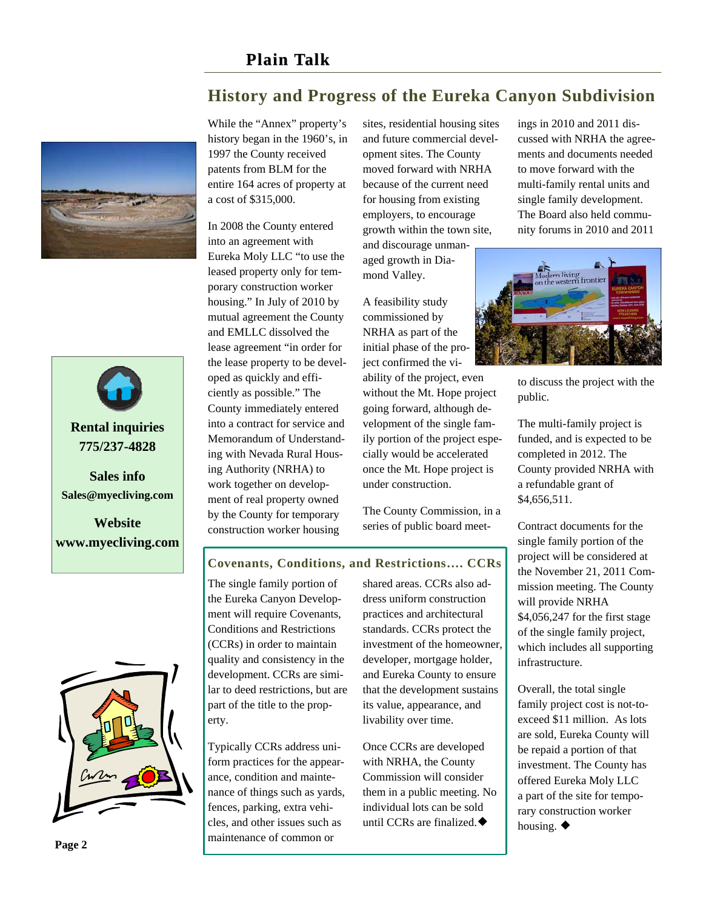



**Rental inquiries 775/237-4828** 

**Sales info Sales@myecliving.com**

**Website www.myecliving.com**  While the "Annex" property's history began in the 1960's, in 1997 the County received patents from BLM for the entire 164 acres of property at a cost of \$315,000.

In 2008 the County entered into an agreement with Eureka Moly LLC "to use the leased property only for temporary construction worker housing." In July of 2010 by mutual agreement the County and EMLLC dissolved the lease agreement "in order for the lease property to be developed as quickly and efficiently as possible." The County immediately entered into a contract for service and Memorandum of Understanding with Nevada Rural Housing Authority (NRHA) to work together on development of real property owned by the County for temporary construction worker housing

sites, residential housing sites and future commercial development sites. The County moved forward with NRHA because of the current need for housing from existing employers, to encourage growth within the town site, and discourage unmanaged growth in Diamond Valley.

**History and Progress of the Eureka Canyon Subdivision** 

A feasibility study commissioned by NRHA as part of the initial phase of the project confirmed the viability of the project, even without the Mt. Hope project going forward, although development of the single family portion of the project especially would be accelerated once the Mt. Hope project is under construction.

The County Commission, in a series of public board meetings in 2010 and 2011 discussed with NRHA the agreements and documents needed to move forward with the multi-family rental units and single family development. The Board also held community forums in 2010 and 2011



to discuss the project with the public.

The multi-family project is funded, and is expected to be completed in 2012. The County provided NRHA with a refundable grant of \$4,656,511.

Contract documents for the single family portion of the project will be considered at the November 21, 2011 Commission meeting. The County will provide NRHA \$4,056,247 for the first stage of the single family project, which includes all supporting infrastructure.

Overall, the total single family project cost is not-toexceed \$11 million. As lots are sold, Eureka County will be repaid a portion of that investment. The County has offered Eureka Moly LLC a part of the site for temporary construction worker housing.  $\blacklozenge$ 

**Page 2** 

## **Covenants, Conditions, and Restrictions…. CCRs**

The single family portion of the Eureka Canyon Development will require Covenants, Conditions and Restrictions (CCRs) in order to maintain quality and consistency in the development. CCRs are similar to deed restrictions, but are part of the title to the property.

Typically CCRs address uniform practices for the appearance, condition and maintenance of things such as yards, fences, parking, extra vehicles, and other issues such as maintenance of common or

shared areas. CCRs also address uniform construction practices and architectural standards. CCRs protect the investment of the homeowner, developer, mortgage holder, and Eureka County to ensure that the development sustains its value, appearance, and livability over time.

Once CCRs are developed with NRHA, the County Commission will consider them in a public meeting. No individual lots can be sold until CCRs are finalized. $\blacklozenge$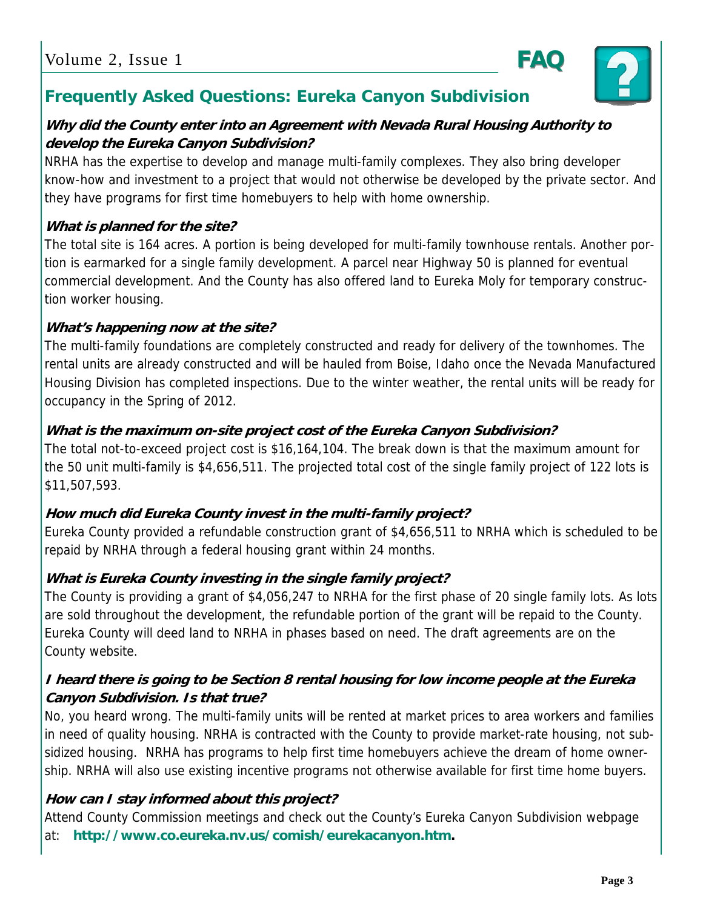

#### **Why did the County enter into an Agreement with Nevada Rural Housing Authority to develop the Eureka Canyon Subdivision?**

NRHA has the expertise to develop and manage multi-family complexes. They also bring developer know-how and investment to a project that would not otherwise be developed by the private sector. And they have programs for first time homebuyers to help with home ownership.

#### **What is planned for the site?**

The total site is 164 acres. A portion is being developed for multi-family townhouse rentals. Another portion is earmarked for a single family development. A parcel near Highway 50 is planned for eventual commercial development. And the County has also offered land to Eureka Moly for temporary construction worker housing.

#### **What's happening now at the site?**

The multi-family foundations are completely constructed and ready for delivery of the townhomes. The rental units are already constructed and will be hauled from Boise, Idaho once the Nevada Manufactured Housing Division has completed inspections. Due to the winter weather, the rental units will be ready for occupancy in the Spring of 2012.

#### **What is the maximum on-site project cost of the Eureka Canyon Subdivision?**

The total not-to-exceed project cost is \$16,164,104. The break down is that the maximum amount for the 50 unit multi-family is \$4,656,511. The projected total cost of the single family project of 122 lots is \$11,507,593.

#### **How much did Eureka County invest in the multi-family project?**

Eureka County provided a refundable construction grant of \$4,656,511 to NRHA which is scheduled to be repaid by NRHA through a federal housing grant within 24 months.

#### **What is Eureka County investing in the single family project?**

The County is providing a grant of \$4,056,247 to NRHA for the first phase of 20 single family lots. As lots are sold throughout the development, the refundable portion of the grant will be repaid to the County. Eureka County will deed land to NRHA in phases based on need. The draft agreements are on the County website.

#### **I heard there is going to be Section 8 rental housing for low income people at the Eureka Canyon Subdivision. Is that true?**

No, you heard wrong. The multi-family units will be rented at market prices to area workers and families in need of quality housing. NRHA is contracted with the County to provide market-rate housing, not subsidized housing. NRHA has programs to help first time homebuyers achieve the dream of home ownership. NRHA will also use existing incentive programs not otherwise available for first time home buyers.

#### **How can I stay informed about this project?**

Attend County Commission meetings and check out the County's Eureka Canyon Subdivision webpage at: **http://www.co.eureka.nv.us/comish/eurekacanyon.htm.**